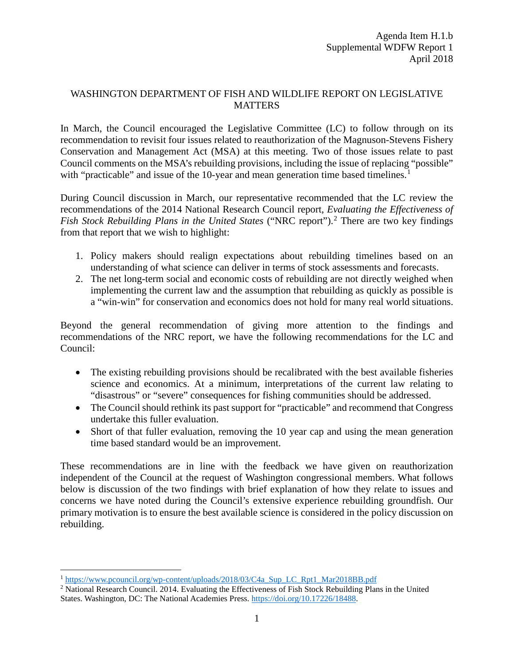# WASHINGTON DEPARTMENT OF FISH AND WILDLIFE REPORT ON LEGISLATIVE **MATTERS**

In March, the Council encouraged the Legislative Committee (LC) to follow through on its recommendation to revisit four issues related to reauthorization of the Magnuson-Stevens Fishery Conservation and Management Act (MSA) at this meeting. Two of those issues relate to past Council comments on the MSA's rebuilding provisions, including the issue of replacing "possible" with "practicable" and issue of the [1](#page-0-0)0-year and mean generation time based timelines.<sup>1</sup>

During Council discussion in March, our representative recommended that the LC review the recommendations of the 2014 National Research Council report, *Evaluating the Effectiveness of Fish Stock Rebuilding Plans in the United States* ("NRC report").<sup>[2](#page-0-1)</sup> There are two key findings from that report that we wish to highlight:

- 1. Policy makers should realign expectations about rebuilding timelines based on an understanding of what science can deliver in terms of stock assessments and forecasts.
- 2. The net long-term social and economic costs of rebuilding are not directly weighed when implementing the current law and the assumption that rebuilding as quickly as possible is a "win-win" for conservation and economics does not hold for many real world situations.

Beyond the general recommendation of giving more attention to the findings and recommendations of the NRC report, we have the following recommendations for the LC and Council:

- The existing rebuilding provisions should be recalibrated with the best available fisheries science and economics. At a minimum, interpretations of the current law relating to "disastrous" or "severe" consequences for fishing communities should be addressed.
- The Council should rethink its past support for "practicable" and recommend that Congress undertake this fuller evaluation.
- Short of that fuller evaluation, removing the 10 year cap and using the mean generation time based standard would be an improvement.

These recommendations are in line with the feedback we have given on reauthorization independent of the Council at the request of Washington congressional members. What follows below is discussion of the two findings with brief explanation of how they relate to issues and concerns we have noted during the Council's extensive experience rebuilding groundfish. Our primary motivation is to ensure the best available science is considered in the policy discussion on rebuilding.

<span id="page-0-0"></span><sup>&</sup>lt;sup>1</sup> https://www.pcouncil.org/wp-content/uploads/2018/03/C4a Sup\_LC\_Rpt1\_Mar2018BB.pdf

<span id="page-0-1"></span><sup>2</sup> National Research Council. 2014. Evaluating the Effectiveness of Fish Stock Rebuilding Plans in the United States. Washington, DC: The National Academies Press[. https://doi.org/10.17226/18488.](https://doi.org/10.17226/18488)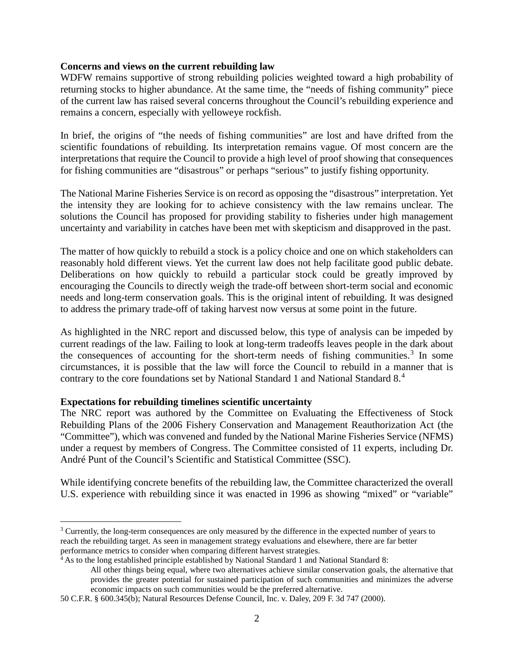#### **Concerns and views on the current rebuilding law**

WDFW remains supportive of strong rebuilding policies weighted toward a high probability of returning stocks to higher abundance. At the same time, the "needs of fishing community" piece of the current law has raised several concerns throughout the Council's rebuilding experience and remains a concern, especially with yelloweye rockfish.

In brief, the origins of "the needs of fishing communities" are lost and have drifted from the scientific foundations of rebuilding. Its interpretation remains vague. Of most concern are the interpretations that require the Council to provide a high level of proof showing that consequences for fishing communities are "disastrous" or perhaps "serious" to justify fishing opportunity.

The National Marine Fisheries Service is on record as opposing the "disastrous" interpretation. Yet the intensity they are looking for to achieve consistency with the law remains unclear. The solutions the Council has proposed for providing stability to fisheries under high management uncertainty and variability in catches have been met with skepticism and disapproved in the past.

The matter of how quickly to rebuild a stock is a policy choice and one on which stakeholders can reasonably hold different views. Yet the current law does not help facilitate good public debate. Deliberations on how quickly to rebuild a particular stock could be greatly improved by encouraging the Councils to directly weigh the trade-off between short-term social and economic needs and long-term conservation goals. This is the original intent of rebuilding. It was designed to address the primary trade-off of taking harvest now versus at some point in the future.

As highlighted in the NRC report and discussed below, this type of analysis can be impeded by current readings of the law. Failing to look at long-term tradeoffs leaves people in the dark about the consequences of accounting for the short-term needs of fishing communities. [3](#page-1-0) In some circumstances, it is possible that the law will force the Council to rebuild in a manner that is contrary to the core foundations set by National Standard 1 and National Standard 8.[4](#page-1-1)

### **Expectations for rebuilding timelines scientific uncertainty**

The NRC report was authored by the Committee on Evaluating the Effectiveness of Stock Rebuilding Plans of the 2006 Fishery Conservation and Management Reauthorization Act (the "Committee"), which was convened and funded by the National Marine Fisheries Service (NFMS) under a request by members of Congress. The Committee consisted of 11 experts, including Dr. André Punt of the Council's Scientific and Statistical Committee (SSC).

While identifying concrete benefits of the rebuilding law, the Committee characterized the overall U.S. experience with rebuilding since it was enacted in 1996 as showing "mixed" or "variable"

<span id="page-1-0"></span><sup>&</sup>lt;sup>3</sup> Currently, the long-term consequences are only measured by the difference in the expected number of years to reach the rebuilding target. As seen in management strategy evaluations and elsewhere, there are far better performance metrics to consider when comparing different harvest strategies.

<span id="page-1-1"></span><sup>&</sup>lt;sup>4</sup> As to the long established principle established by National Standard 1 and National Standard 8:

All other things being equal, where two alternatives achieve similar conservation goals, the alternative that provides the greater potential for sustained participation of such communities and minimizes the adverse economic impacts on such communities would be the preferred alternative.

<sup>50</sup> C.F.R. § 600.345(b); Natural Resources Defense Council, Inc. v. Daley, 209 F. 3d 747 (2000).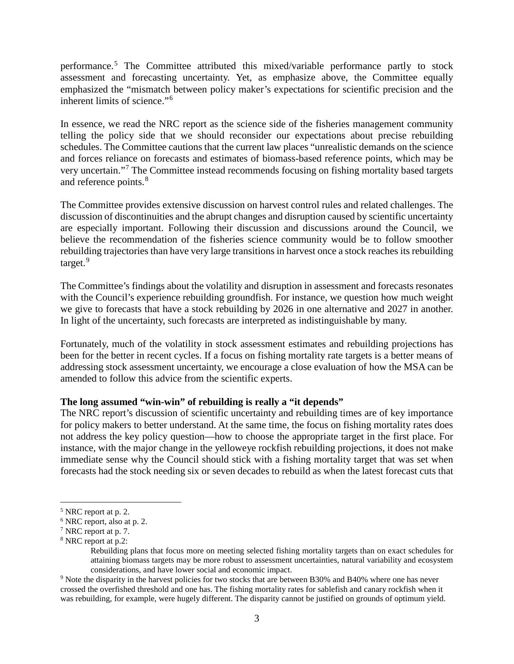performance.<sup>[5](#page-2-0)</sup> The Committee attributed this mixed/variable performance partly to stock assessment and forecasting uncertainty. Yet, as emphasize above, the Committee equally emphasized the "mismatch between policy maker's expectations for scientific precision and the inherent limits of science."[6](#page-2-1)

In essence, we read the NRC report as the science side of the fisheries management community telling the policy side that we should reconsider our expectations about precise rebuilding schedules. The Committee cautions that the current law places "unrealistic demands on the science and forces reliance on forecasts and estimates of biomass-based reference points, which may be very uncertain."[7](#page-2-2) The Committee instead recommends focusing on fishing mortality based targets and reference points.<sup>[8](#page-2-3)</sup>

The Committee provides extensive discussion on harvest control rules and related challenges. The discussion of discontinuities and the abrupt changes and disruption caused by scientific uncertainty are especially important. Following their discussion and discussions around the Council, we believe the recommendation of the fisheries science community would be to follow smoother rebuilding trajectories than have very large transitions in harvest once a stock reaches its rebuilding target.<sup>[9](#page-2-4)</sup>

The Committee's findings about the volatility and disruption in assessment and forecasts resonates with the Council's experience rebuilding groundfish. For instance, we question how much weight we give to forecasts that have a stock rebuilding by 2026 in one alternative and 2027 in another. In light of the uncertainty, such forecasts are interpreted as indistinguishable by many.

Fortunately, much of the volatility in stock assessment estimates and rebuilding projections has been for the better in recent cycles. If a focus on fishing mortality rate targets is a better means of addressing stock assessment uncertainty, we encourage a close evaluation of how the MSA can be amended to follow this advice from the scientific experts.

### **The long assumed "win-win" of rebuilding is really a "it depends"**

The NRC report's discussion of scientific uncertainty and rebuilding times are of key importance for policy makers to better understand. At the same time, the focus on fishing mortality rates does not address the key policy question—how to choose the appropriate target in the first place. For instance, with the major change in the yelloweye rockfish rebuilding projections, it does not make immediate sense why the Council should stick with a fishing mortality target that was set when forecasts had the stock needing six or seven decades to rebuild as when the latest forecast cuts that

<span id="page-2-0"></span> <sup>5</sup> NRC report at p. 2.

<span id="page-2-1"></span><sup>6</sup> NRC report, also at p. 2.

<span id="page-2-2"></span><sup>7</sup> NRC report at p. 7.

<span id="page-2-3"></span><sup>&</sup>lt;sup>8</sup> NRC report at p.2:

Rebuilding plans that focus more on meeting selected fishing mortality targets than on exact schedules for attaining biomass targets may be more robust to assessment uncertainties, natural variability and ecosystem considerations, and have lower social and economic impact.

<span id="page-2-4"></span><sup>9</sup> Note the disparity in the harvest policies for two stocks that are between B30% and B40% where one has never crossed the overfished threshold and one has. The fishing mortality rates for sablefish and canary rockfish when it was rebuilding, for example, were hugely different. The disparity cannot be justified on grounds of optimum yield.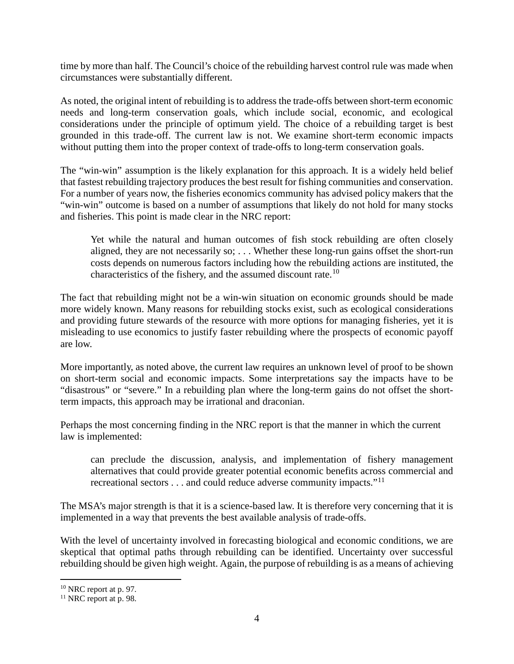time by more than half. The Council's choice of the rebuilding harvest control rule was made when circumstances were substantially different.

As noted, the original intent of rebuilding is to address the trade-offs between short-term economic needs and long-term conservation goals, which include social, economic, and ecological considerations under the principle of optimum yield. The choice of a rebuilding target is best grounded in this trade-off. The current law is not. We examine short-term economic impacts without putting them into the proper context of trade-offs to long-term conservation goals.

The "win-win" assumption is the likely explanation for this approach. It is a widely held belief that fastest rebuilding trajectory produces the best result for fishing communities and conservation. For a number of years now, the fisheries economics community has advised policy makers that the "win-win" outcome is based on a number of assumptions that likely do not hold for many stocks and fisheries. This point is made clear in the NRC report:

Yet while the natural and human outcomes of fish stock rebuilding are often closely aligned, they are not necessarily so; . . . Whether these long-run gains offset the short-run costs depends on numerous factors including how the rebuilding actions are instituted, the characteristics of the fishery, and the assumed discount rate.<sup>[10](#page-3-0)</sup>

The fact that rebuilding might not be a win-win situation on economic grounds should be made more widely known. Many reasons for rebuilding stocks exist, such as ecological considerations and providing future stewards of the resource with more options for managing fisheries, yet it is misleading to use economics to justify faster rebuilding where the prospects of economic payoff are low.

More importantly, as noted above, the current law requires an unknown level of proof to be shown on short-term social and economic impacts. Some interpretations say the impacts have to be "disastrous" or "severe." In a rebuilding plan where the long-term gains do not offset the shortterm impacts, this approach may be irrational and draconian.

Perhaps the most concerning finding in the NRC report is that the manner in which the current law is implemented:

can preclude the discussion, analysis, and implementation of fishery management alternatives that could provide greater potential economic benefits across commercial and recreational sectors  $\dots$  and could reduce adverse community impacts."<sup>[11](#page-3-1)</sup>

The MSA's major strength is that it is a science-based law. It is therefore very concerning that it is implemented in a way that prevents the best available analysis of trade-offs.

With the level of uncertainty involved in forecasting biological and economic conditions, we are skeptical that optimal paths through rebuilding can be identified. Uncertainty over successful rebuilding should be given high weight. Again, the purpose of rebuilding is as a means of achieving

<span id="page-3-1"></span><span id="page-3-0"></span> $10$  NRC report at p. 97.<br> $11$  NRC report at p. 98.